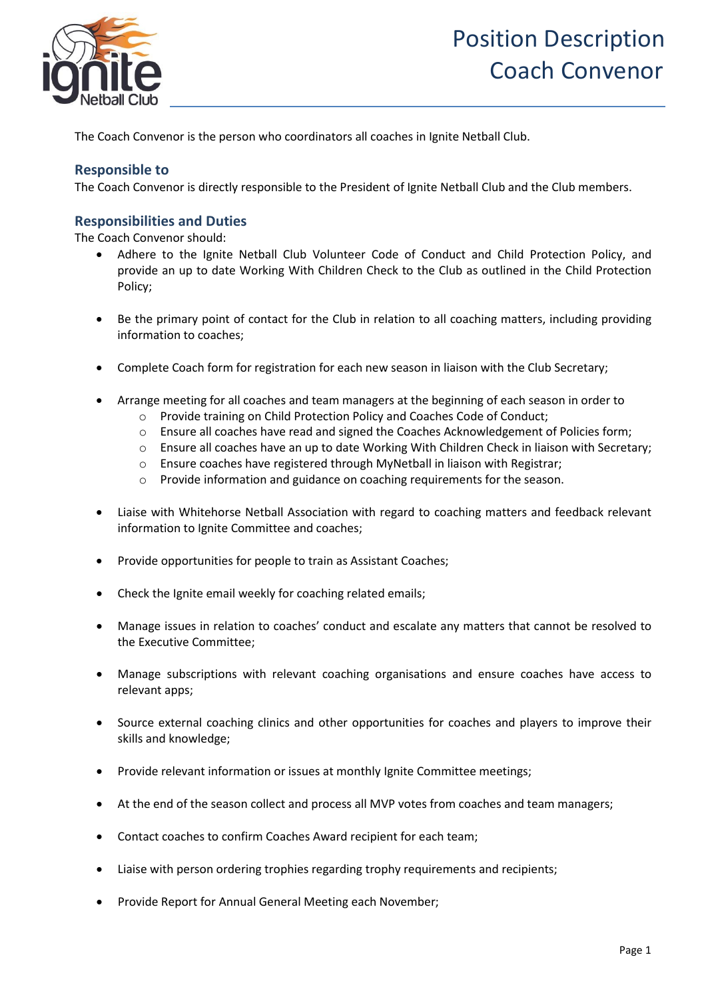

The Coach Convenor is the person who coordinators all coaches in Ignite Netball Club.

## **Responsible to**

The Coach Convenor is directly responsible to the President of Ignite Netball Club and the Club members.

#### **Responsibilities and Duties**

The Coach Convenor should:

- Adhere to the Ignite Netball Club Volunteer Code of Conduct and Child Protection Policy, and provide an up to date Working With Children Check to the Club as outlined in the Child Protection Policy;
- Be the primary point of contact for the Club in relation to all coaching matters, including providing information to coaches;
- Complete Coach form for registration for each new season in liaison with the Club Secretary;
- Arrange meeting for all coaches and team managers at the beginning of each season in order to
	- o Provide training on Child Protection Policy and Coaches Code of Conduct;
	- o Ensure all coaches have read and signed the Coaches Acknowledgement of Policies form;
	- o Ensure all coaches have an up to date Working With Children Check in liaison with Secretary;
	- o Ensure coaches have registered through MyNetball in liaison with Registrar;
	- o Provide information and guidance on coaching requirements for the season.
- Liaise with Whitehorse Netball Association with regard to coaching matters and feedback relevant information to Ignite Committee and coaches;
- Provide opportunities for people to train as Assistant Coaches;
- Check the Ignite email weekly for coaching related emails;
- Manage issues in relation to coaches' conduct and escalate any matters that cannot be resolved to the Executive Committee;
- Manage subscriptions with relevant coaching organisations and ensure coaches have access to relevant apps;
- Source external coaching clinics and other opportunities for coaches and players to improve their skills and knowledge;
- Provide relevant information or issues at monthly Ignite Committee meetings;
- At the end of the season collect and process all MVP votes from coaches and team managers;
- Contact coaches to confirm Coaches Award recipient for each team;
- Liaise with person ordering trophies regarding trophy requirements and recipients;
- Provide Report for Annual General Meeting each November;